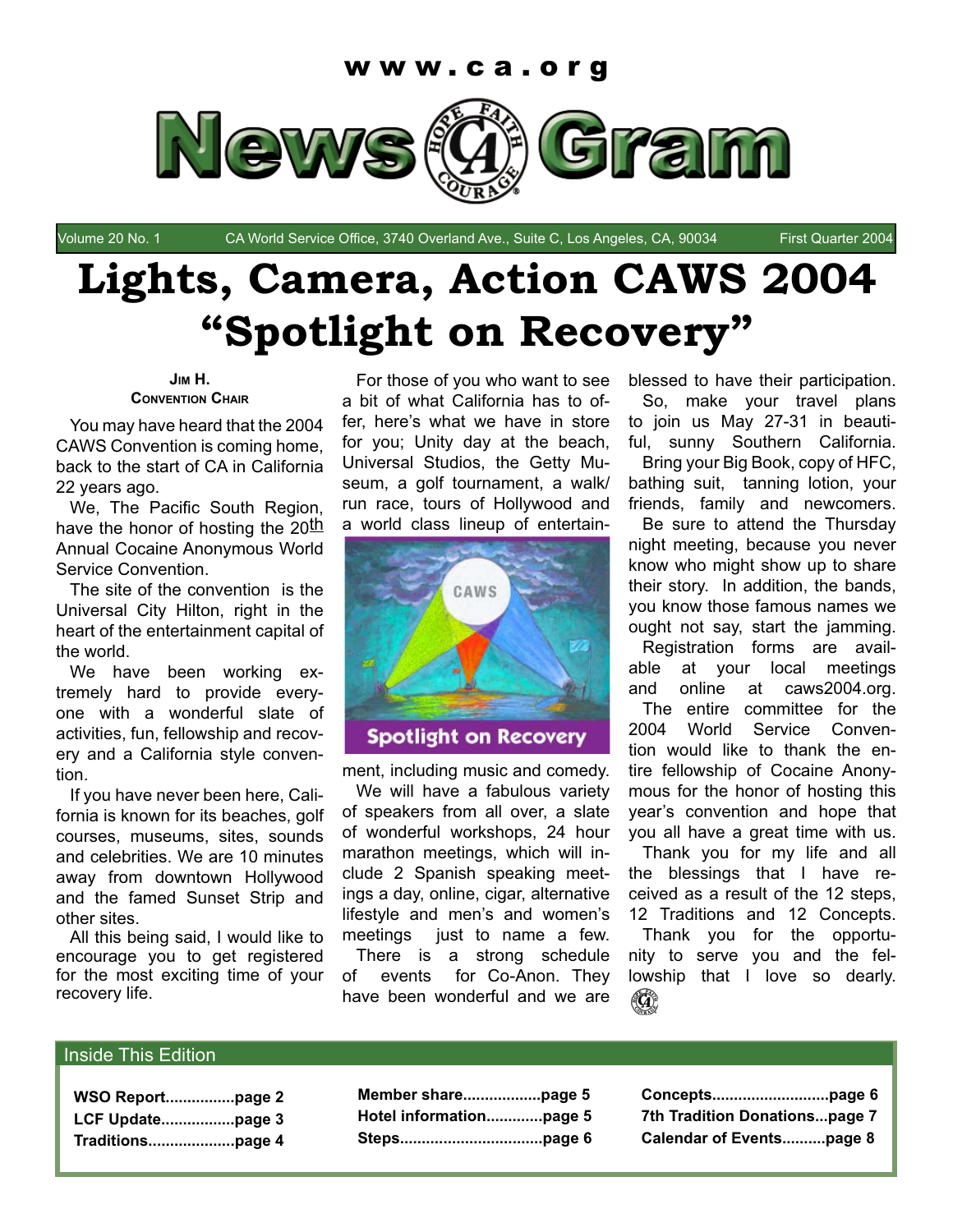

Volume 20 No. 1 CA World Service Office, 3740 Overland Ave., Suite C, Los Angeles, CA, 90034 First Quarter 2004

# **Lights, Camera, Action CAWS 2004 "Spotlight on Recovery"**

#### **JIM H. CONVENTION CHAIR**

You may have heard that the 2004 CAWS Convention is coming home, back to the start of CA in California 22 years ago.

We, The Pacific South Region, have the honor of hosting the  $20<sup>th</sup>$ Annual Cocaine Anonymous World Service Convention.

The site of the convention is the Universal City Hilton, right in the heart of the entertainment capital of the world.

We have been working extremely hard to provide everyone with a wonderful slate of activities, fun, fellowship and recovery and a California style convention.

If you have never been here, California is known for its beaches, golf courses, museums, sites, sounds and celebrities. We are 10 minutes away from downtown Hollywood and the famed Sunset Strip and other sites.

All this being said, I would like to encourage you to get registered for the most exciting time of your recovery life.

For those of you who want to see a bit of what California has to offer, here's what we have in store for you; Unity day at the beach, Universal Studios, the Getty Museum, a golf tournament, a walk/ run race, tours of Hollywood and a world class lineup of entertain-



ment, including music and comedy.

We will have a fabulous variety of speakers from all over, a slate of wonderful workshops, 24 hour marathon meetings, which will include 2 Spanish speaking meetings a day, online, cigar, alternative lifestyle and men's and women's meetings just to name a few. There is a strong schedule

of events for Co-Anon. They have been wonderful and we are blessed to have their participation. So, make your travel plans to join us May 27-31 in beautiful, sunny Southern California. Bring your Big Book, copy of HFC, bathing suit, tanning lotion, your friends, family and newcomers. Be sure to attend the Thursday night meeting, because you never know who might show up to share their story. In addition, the bands, you know those famous names we ought not say, start the jamming.

Registration forms are available at your local meetings and online at caws2004.org. The entire committee for the 2004 World Service Convention would like to thank the entire fellowship of Cocaine Anonymous for the honor of hosting this year's convention and hope that you all have a great time with us.

Thank you for my life and all the blessings that I have received as a result of the 12 steps, 12 Traditions and 12 Concepts. Thank you for the opportunity to serve you and the fellowship that I love so dearly.



#### Inside This Edition

| Hotel informationpage 5 |  |
|-------------------------|--|
|                         |  |

**Concepts...........................page 6 7th Tradition Donations...page 7 Calendar of Events..........page 8**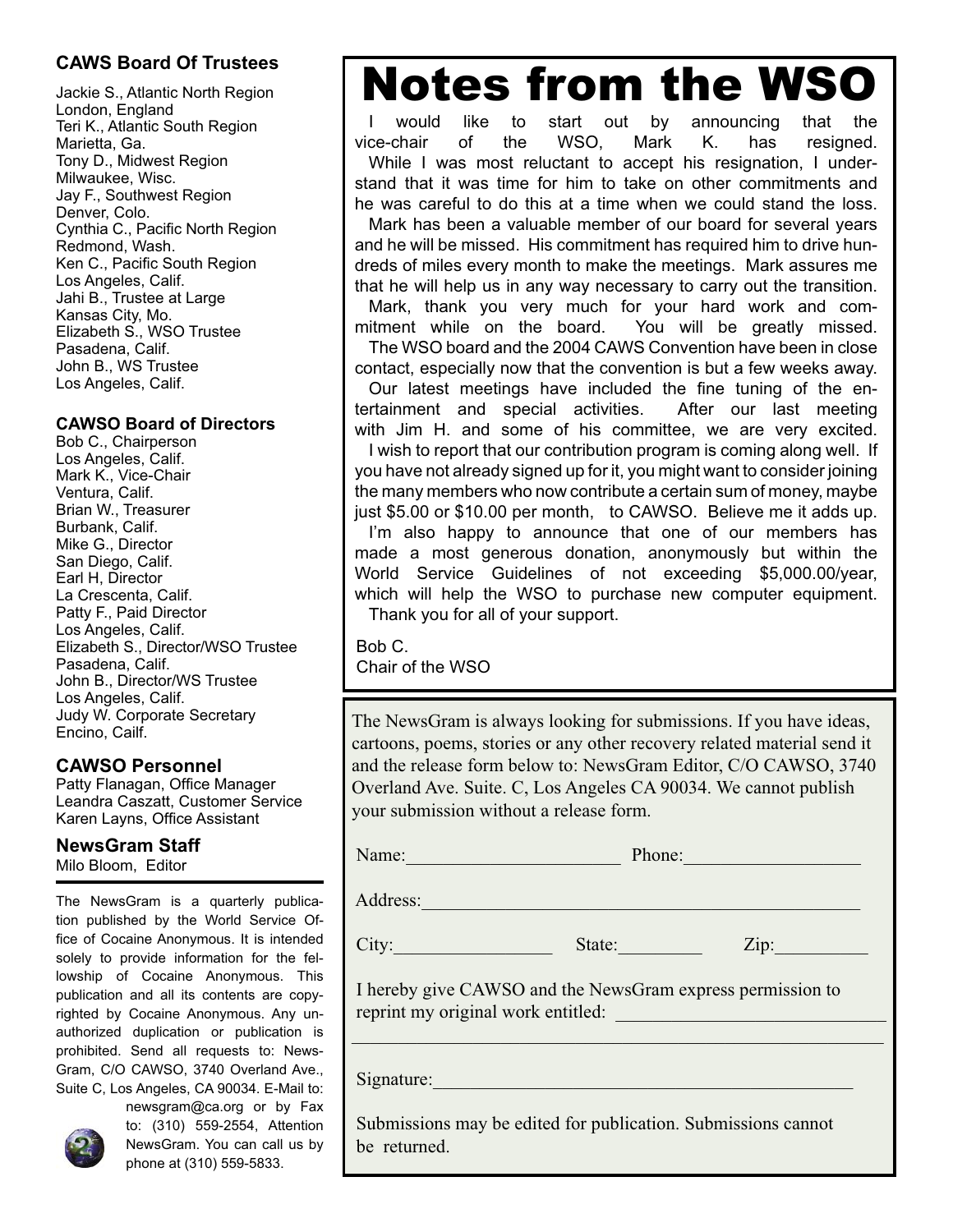# **CAWS Board Of Trustees**

Jackie S., Atlantic North Region London, England Teri K., Atlantic South Region Marietta, Ga. Tony D., Midwest Region Milwaukee, Wisc. Jay F., Southwest Region Denver, Colo. Cynthia C., Pacific North Region Redmond, Wash. Ken C., Pacific South Region Los Angeles, Calif. Jahi B., Trustee at Large Kansas City, Mo. Elizabeth S., WSO Trustee Pasadena, Calif. John B., WS Trustee Los Angeles, Calif.

### **CAWSO Board of Directors**

Bob C., Chairperson Los Angeles, Calif. Mark K., Vice-Chair Ventura, Calif. Brian W., Treasurer Burbank, Calif. Mike G., Director San Diego, Calif. Earl H, Director La Crescenta, Calif. Patty F., Paid Director Los Angeles, Calif. Elizabeth S., Director/WSO Trustee Pasadena, Calif. John B., Director/WS Trustee Los Angeles, Calif. Judy W. Corporate Secretary Encino, Cailf.

### **CAWSO Personnel**

Patty Flanagan, Office Manager Leandra Caszatt, Customer Service Karen Layns, Office Assistant

#### **NewsGram Staff** Milo Bloom, Editor

The NewsGram is a quarterly publication published by the World Service Office of Cocaine Anonymous. It is intended solely to provide information for the fellowship of Cocaine Anonymous. This publication and all its contents are copyrighted by Cocaine Anonymous. Any unauthorized duplication or publication is prohibited. Send all requests to: News-Gram, C/O CAWSO, 3740 Overland Ave., Suite C, Los Angeles, CA 90034. E-Mail to:



newsgram@ca.org or by Fax to: (310) 559-2554, Attention NewsGram. You can call us by phone at (310) 559-5833.

# Notes from the WSO

I would like to start out by announcing that the vice-chair of the WSO, Mark K. has resigned. While I was most reluctant to accept his resignation, I understand that it was time for him to take on other commitments and he was careful to do this at a time when we could stand the loss. Mark has been a valuable member of our board for several years and he will be missed. His commitment has required him to drive hundreds of miles every month to make the meetings. Mark assures me that he will help us in any way necessary to carry out the transition. Mark, thank you very much for your hard work and commitment while on the board. You will be greatly missed. The WSO board and the 2004 CAWS Convention have been in close contact, especially now that the convention is but a few weeks away. Our latest meetings have included the fine tuning of the entertainment and special activities. After our last meeting with Jim H. and some of his committee, we are very excited. I wish to report that our contribution program is coming along well. If you have not already signed up for it, you might want to consider joining the many members who now contribute a certain sum of money, maybe just \$5.00 or \$10.00 per month, to CAWSO. Believe me it adds up. I'm also happy to announce that one of our members has made a most generous donation, anonymously but within the World Service Guidelines of not exceeding \$5,000.00/year, which will help the WSO to purchase new computer equipment. Thank you for all of your support.

Bob C. Chair of the WSO

The NewsGram is always looking for submissions. If you have ideas, cartoons, poems, stories or any other recovery related material send it and the release form below to: NewsGram Editor, C/O CAWSO, 3740 Overland Ave. Suite. C, Los Angeles CA 90034. We cannot publish your submission without a release form.

| Name: | Phone: |
|-------|--------|
|       |        |

Address:

City: State: 2ip:

 I hereby give CAWSO and the NewsGram express permission to reprint my original work entitled:

\_\_\_\_\_\_\_\_\_\_\_\_\_\_\_\_\_\_\_\_\_\_\_\_\_\_\_\_\_\_\_\_\_\_\_\_\_\_\_\_\_\_\_\_\_\_\_\_\_\_\_\_\_\_\_\_\_

Signature:

 Submissions may be edited for publication. Submissions cannot be returned.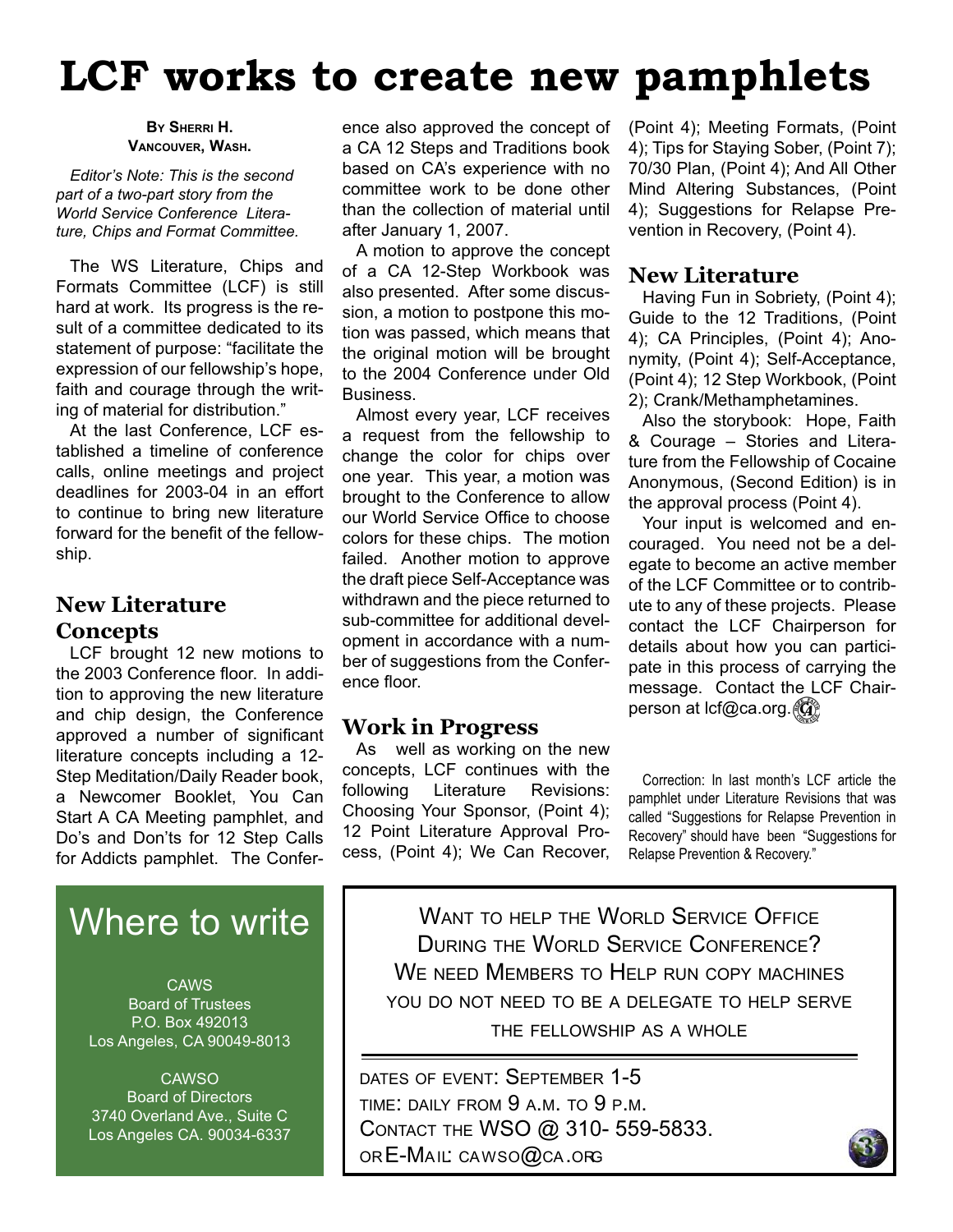# **LCF works to create new pamphlets**

#### **BY SHERRI H. VANCOUVER, WASH.**

*Editor's Note: This is the second part of a two-part story from the World Service Conference Literature, Chips and Format Committee.*

The WS Literature, Chips and Formats Committee (LCF) is still hard at work. Its progress is the result of a committee dedicated to its statement of purpose: "facilitate the expression of our fellowship's hope, faith and courage through the writing of material for distribution."

At the last Conference, LCF established a timeline of conference calls, online meetings and project deadlines for 2003-04 in an effort to continue to bring new literature forward for the benefit of the fellowship.

# **New Literature Concepts**

LCF brought 12 new motions to the 2003 Conference floor. In addition to approving the new literature and chip design, the Conference approved a number of significant literature concepts including a 12- Step Meditation/Daily Reader book, a Newcomer Booklet, You Can Start A CA Meeting pamphlet, and Do's and Don'ts for 12 Step Calls for Addicts pamphlet. The Confer-

# Where to write

CAWS Board of Trustees P.O. Box 492013 Los Angeles, CA 90049-8013

**CAWSO** Board of Directors 3740 Overland Ave., Suite C Los Angeles CA. 90034-6337 ence also approved the concept of a CA 12 Steps and Traditions book based on CA's experience with no committee work to be done other than the collection of material until after January 1, 2007.

A motion to approve the concept of a CA 12-Step Workbook was also presented. After some discussion, a motion to postpone this motion was passed, which means that the original motion will be brought to the 2004 Conference under Old Business.

Almost every year, LCF receives a request from the fellowship to change the color for chips over one year. This year, a motion was brought to the Conference to allow our World Service Office to choose colors for these chips. The motion failed. Another motion to approve the draft piece Self-Acceptance was withdrawn and the piece returned to sub-committee for additional development in accordance with a number of suggestions from the Conference floor.

# **Work in Progress**

As well as working on the new concepts, LCF continues with the following Literature Revisions: Choosing Your Sponsor, (Point 4); 12 Point Literature Approval Process, (Point 4); We Can Recover, (Point 4); Meeting Formats, (Point 4); Tips for Staying Sober, (Point 7); 70/30 Plan, (Point 4); And All Other Mind Altering Substances, (Point 4); Suggestions for Relapse Prevention in Recovery, (Point 4).

# **New Literature**

Having Fun in Sobriety, (Point 4); Guide to the 12 Traditions, (Point 4); CA Principles, (Point 4); Anonymity, (Point 4); Self-Acceptance, (Point 4); 12 Step Workbook, (Point 2); Crank/Methamphetamines.

Also the storybook: Hope, Faith & Courage – Stories and Literature from the Fellowship of Cocaine Anonymous, (Second Edition) is in the approval process (Point 4).

Your input is welcomed and encouraged. You need not be a delegate to become an active member of the LCF Committee or to contribute to any of these projects. Please contact the LCF Chairperson for details about how you can participate in this process of carrying the message. Contact the LCF Chairperson at lcf@ca.org. (G)

Correction: In last month's LCF article the pamphlet under Literature Revisions that was called "Suggestions for Relapse Prevention in Recovery" should have been "Suggestions for Relapse Prevention & Recovery."

WANT TO HELP THE WORLD SERVICE OFFICE DURING THE WORLD SERVICE CONFERENCE? WE NEED MEMBERS TO HELP RUN COPY MACHINES YOU DO NOT NEED TO BE A DELEGATE TO HELP SERVE THE FELLOWSHIP AS A WHOLE

DATES OF EVENT: SEPTEMBER 1-5 TIME: DAILY FROM 9 A.M. TO 9 P.M. CONTACT THE WSO @ 310- 559-5833. OR E-MAIL: CAWSO@CA.ORG

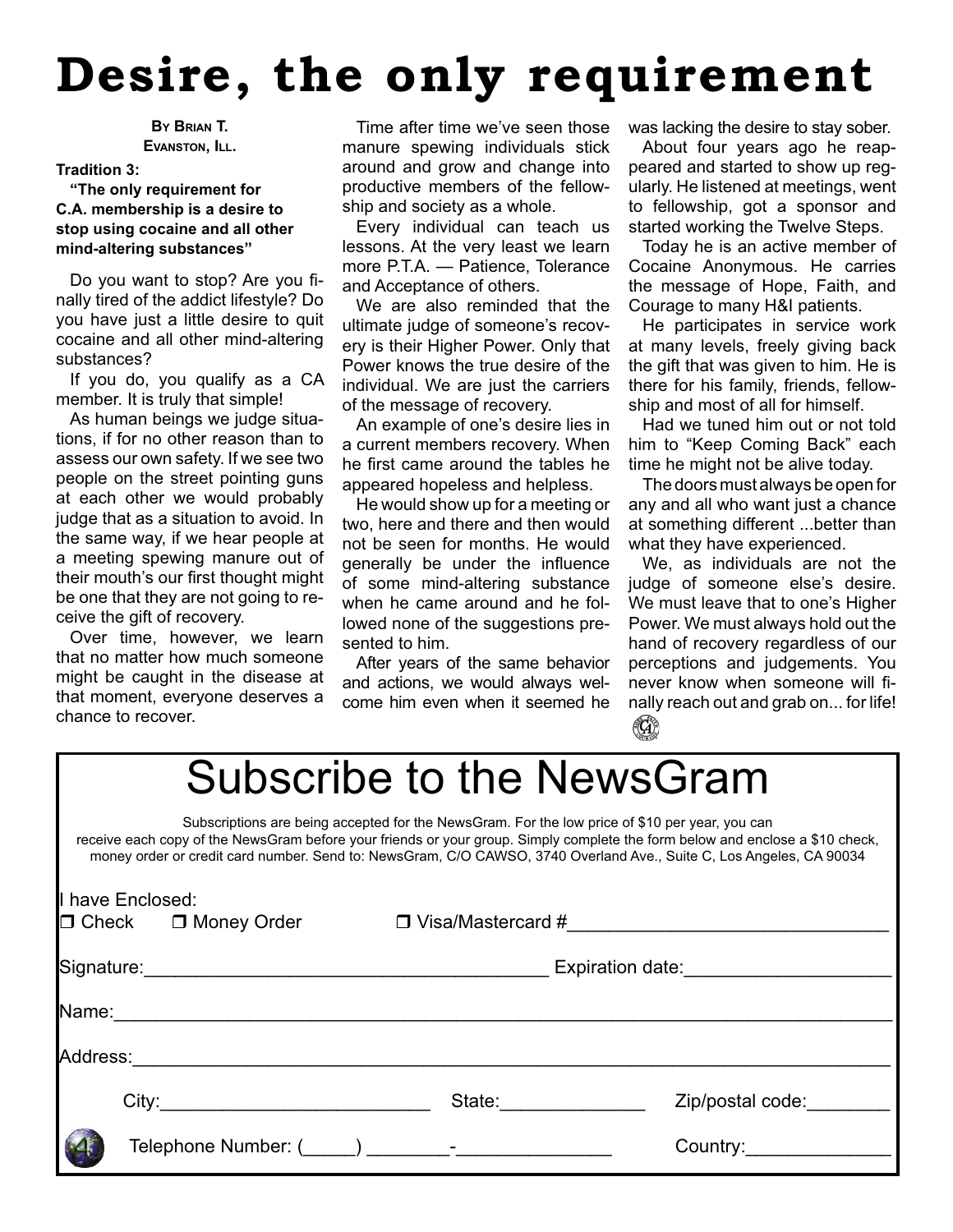# **Desire, the only requirement**

**BY BRIAN T. EVANSTON, ILL.**

#### **Tradition 3:**

#### **"The only requirement for C.A. membership is a desire to stop using cocaine and all other mind-altering substances"**

Do you want to stop? Are you finally tired of the addict lifestyle? Do you have just a little desire to quit cocaine and all other mind-altering substances?

If you do, you qualify as a CA member. It is truly that simple!

As human beings we judge situations, if for no other reason than to assess our own safety. If we see two people on the street pointing guns at each other we would probably judge that as a situation to avoid. In the same way, if we hear people at a meeting spewing manure out of their mouth's our first thought might be one that they are not going to receive the gift of recovery.

Over time, however, we learn that no matter how much someone might be caught in the disease at that moment, everyone deserves a chance to recover.

Time after time we've seen those manure spewing individuals stick around and grow and change into productive members of the fellowship and society as a whole.

Every individual can teach us lessons. At the very least we learn more P.T.A. — Patience, Tolerance and Acceptance of others.

We are also reminded that the ultimate judge of someone's recovery is their Higher Power. Only that Power knows the true desire of the individual. We are just the carriers of the message of recovery.

An example of one's desire lies in a current members recovery. When he first came around the tables he appeared hopeless and helpless.

He would show up for a meeting or two, here and there and then would not be seen for months. He would generally be under the influence of some mind-altering substance when he came around and he followed none of the suggestions presented to him.

After years of the same behavior and actions, we would always welcome him even when it seemed he was lacking the desire to stay sober.

About four years ago he reappeared and started to show up regularly. He listened at meetings, went to fellowship, got a sponsor and started working the Twelve Steps.

Today he is an active member of Cocaine Anonymous. He carries the message of Hope, Faith, and Courage to many H&I patients.

He participates in service work at many levels, freely giving back the gift that was given to him. He is there for his family, friends, fellowship and most of all for himself.

Had we tuned him out or not told him to "Keep Coming Back" each time he might not be alive today.

The doors must always be open for any and all who want just a chance at something different ...better than what they have experienced.

We, as individuals are not the judge of someone else's desire. We must leave that to one's Higher Power. We must always hold out the hand of recovery regardless of our perceptions and judgements. You never know when someone will finally reach out and grab on... for life! $(\mathbb{G})$ 

# Subscribe to the NewsGram

Subscriptions are being accepted for the NewsGram. For the low price of \$10 per year, you can receive each copy of the NewsGram before your friends or your group. Simply complete the form below and enclose a \$10 check, money order or credit card number. Send to: NewsGram, C/O CAWSO, 3740 Overland Ave., Suite C, Los Angeles, CA 90034

| I have Enclosed: | $\Box$ Check $\Box$ Money Order  | $\Box$ Visa/Mastercard #                                                                                                                                                                                                       |                        |
|------------------|----------------------------------|--------------------------------------------------------------------------------------------------------------------------------------------------------------------------------------------------------------------------------|------------------------|
|                  | Signature: <u>Communications</u> |                                                                                                                                                                                                                                | Expiration date:       |
| Name:            |                                  |                                                                                                                                                                                                                                |                        |
| Address:____     |                                  |                                                                                                                                                                                                                                |                        |
|                  |                                  | State: and the state of the state of the state of the state of the state of the state of the state of the state of the state of the state of the state of the state of the state of the state of the state of the state of the | Zip/postal code:       |
|                  |                                  | Telephone Number: ( ) and the set of the set of the set of the set of the set of the set of the set of the set o                                                                                                               | Country:______________ |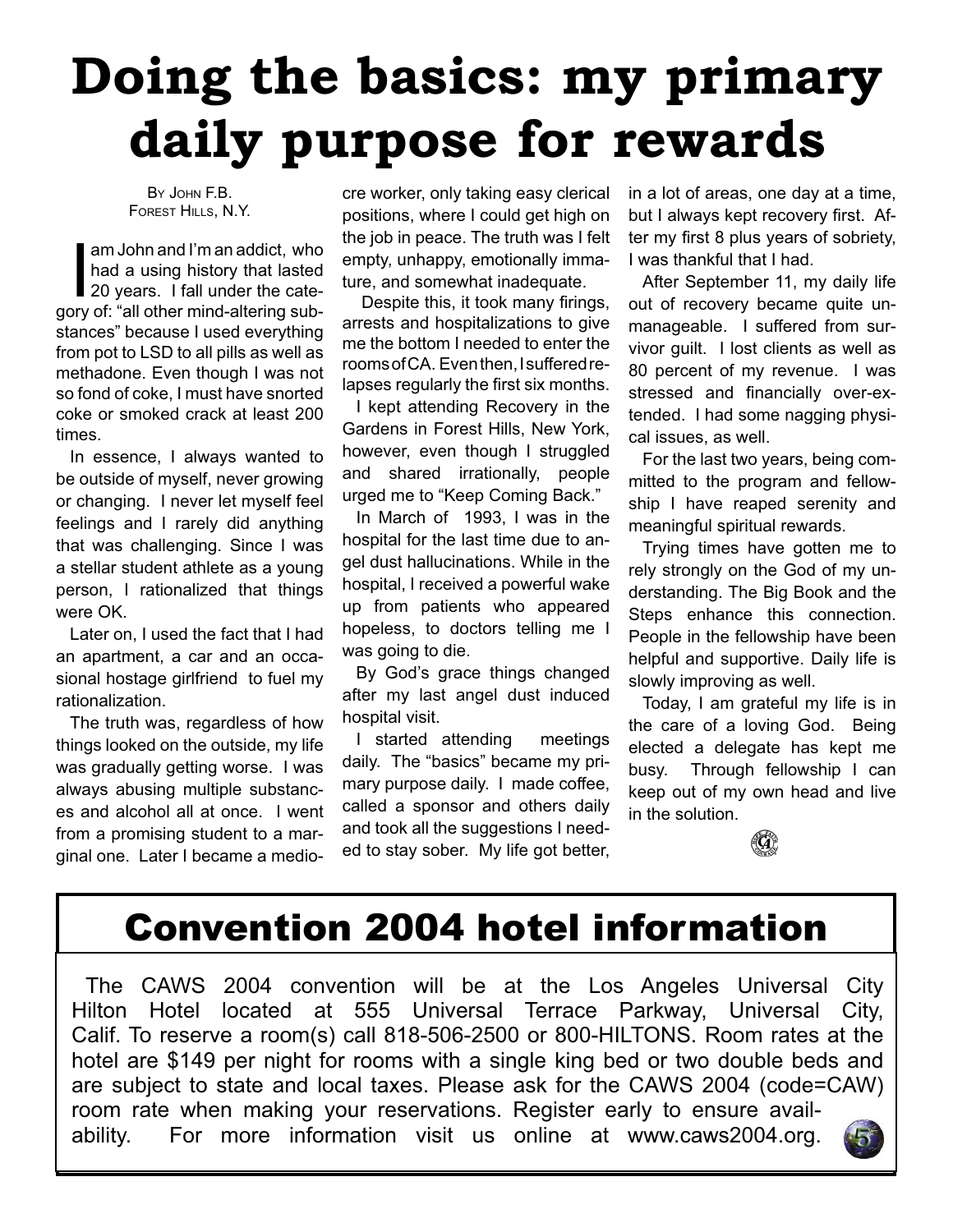# **Doing the basics: my primary daily purpose for rewards**

BY JOHN F.B. FOREST HILLS, N.Y.

am John and I'm an addict, who<br>had a using history that lasted<br>20 years. I fall under the catehad a using history that lasted 20 years. I fall under the category of: "all other mind-altering substances" because I used everything from pot to LSD to all pills as well as methadone. Even though I was not so fond of coke, I must have snorted coke or smoked crack at least 200 times.

In essence, I always wanted to be outside of myself, never growing or changing. I never let myself feel feelings and I rarely did anything that was challenging. Since I was a stellar student athlete as a young person, I rationalized that things were OK.

Later on, I used the fact that I had an apartment, a car and an occasional hostage girlfriend to fuel my rationalization.

The truth was, regardless of how things looked on the outside, my life was gradually getting worse. I was always abusing multiple substances and alcohol all at once. I went from a promising student to a marginal one. Later I became a medio-

cre worker, only taking easy clerical positions, where I could get high on the job in peace. The truth was I felt empty, unhappy, emotionally immature, and somewhat inadequate.

Despite this, it took many firings, arrests and hospitalizations to give me the bottom I needed to enter the rooms of CA. Even then, I suffered relapses regularly the first six months.

I kept attending Recovery in the Gardens in Forest Hills, New York, however, even though I struggled and shared irrationally, people urged me to "Keep Coming Back."

In March of 1993, I was in the hospital for the last time due to angel dust hallucinations. While in the hospital, I received a powerful wake up from patients who appeared hopeless, to doctors telling me I was going to die.

By God's grace things changed after my last angel dust induced hospital visit.

I started attending meetings daily. The "basics" became my primary purpose daily. I made coffee, called a sponsor and others daily and took all the suggestions I needed to stay sober. My life got better, in a lot of areas, one day at a time, but I always kept recovery first. After my first 8 plus years of sobriety, I was thankful that I had.

After September 11, my daily life out of recovery became quite unmanageable. I suffered from survivor guilt. I lost clients as well as 80 percent of my revenue. I was stressed and financially over-extended. I had some nagging physical issues, as well.

For the last two years, being committed to the program and fellowship I have reaped serenity and meaningful spiritual rewards.

Trying times have gotten me to rely strongly on the God of my understanding. The Big Book and the Steps enhance this connection. People in the fellowship have been helpful and supportive. Daily life is slowly improving as well.

Today, I am grateful my life is in the care of a loving God. Being elected a delegate has kept me busy. Through fellowship I can keep out of my own head and live in the solution.



# Convention 2004 hotel information

The CAWS 2004 convention will be at the Los Angeles Universal City Hilton Hotel located at 555 Universal Terrace Parkway, Universal City, Calif. To reserve a room(s) call 818-506-2500 or 800-HILTONS. Room rates at the hotel are \$149 per night for rooms with a single king bed or two double beds and are subject to state and local taxes. Please ask for the CAWS 2004 (code=CAW) room rate when making your reservations. Register early to ensure availability. For more information visit us online at www.caws2004.org.

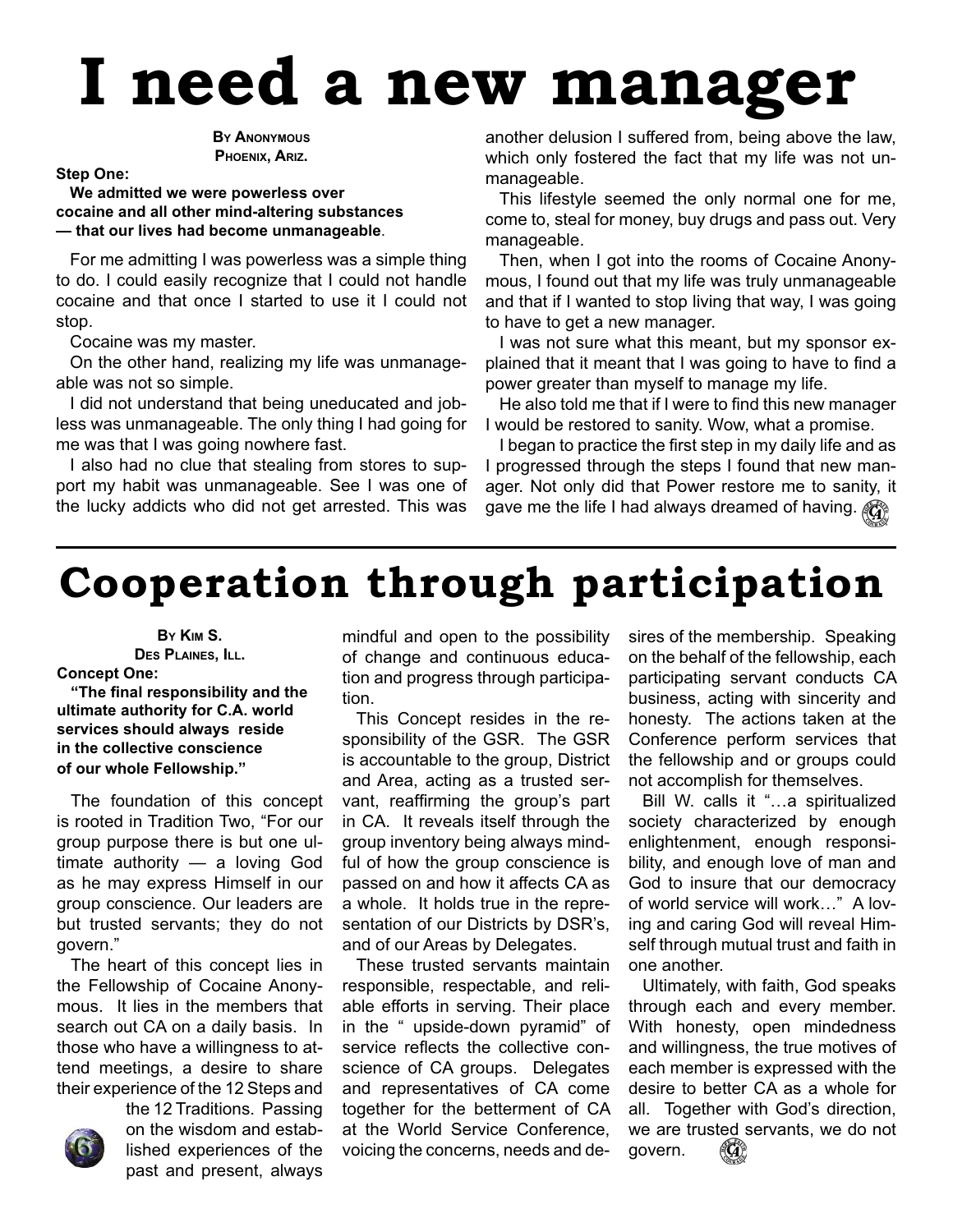# **I need a new manager**

**BY ANONYMOUS PHOENIX, ARIZ.**

#### **Step One:**

**We admitted we were powerless over cocaine and all other mind-altering substances — that our lives had become unmanageable**.

For me admitting I was powerless was a simple thing to do. I could easily recognize that I could not handle cocaine and that once I started to use it I could not stop.

Cocaine was my master.

On the other hand, realizing my life was unmanageable was not so simple.

I did not understand that being uneducated and jobless was unmanageable. The only thing I had going for me was that I was going nowhere fast.

I also had no clue that stealing from stores to support my habit was unmanageable. See I was one of the lucky addicts who did not get arrested. This was

another delusion I suffered from, being above the law, which only fostered the fact that my life was not unmanageable.

This lifestyle seemed the only normal one for me, come to, steal for money, buy drugs and pass out. Very manageable.

Then, when I got into the rooms of Cocaine Anonymous, I found out that my life was truly unmanageable and that if I wanted to stop living that way, I was going to have to get a new manager.

I was not sure what this meant, but my sponsor explained that it meant that I was going to have to find a power greater than myself to manage my life.

He also told me that if I were to find this new manager I would be restored to sanity. Wow, what a promise.

I began to practice the first step in my daily life and as I progressed through the steps I found that new manager. Not only did that Power restore me to sanity, it gave me the life I had always dreamed of having.  $\mathbb{G}$ 

# **Cooperation through participation**

**BY KIM S. DES PLAINES, ILL. Concept One:**

#### **"The fi nal responsibility and the ultimate authority for C.A. world services should always reside in the collective conscience of our whole Fellowship."**

The foundation of this concept is rooted in Tradition Two, "For our group purpose there is but one ultimate authority — a loving God as he may express Himself in our group conscience. Our leaders are but trusted servants; they do not govern."

The heart of this concept lies in the Fellowship of Cocaine Anonymous. It lies in the members that search out CA on a daily basis. In those who have a willingness to attend meetings, a desire to share their experience of the 12 Steps and



the 12 Traditions. Passing on the wisdom and established experiences of the past and present, always

mindful and open to the possibility of change and continuous education and progress through participation.

This Concept resides in the responsibility of the GSR. The GSR is accountable to the group, District and Area, acting as a trusted servant, reaffirming the group's part in CA. It reveals itself through the group inventory being always mindful of how the group conscience is passed on and how it affects CA as a whole. It holds true in the representation of our Districts by DSR's, and of our Areas by Delegates.

These trusted servants maintain responsible, respectable, and reliable efforts in serving. Their place in the " upside-down pyramid" of service reflects the collective conscience of CA groups. Delegates and representatives of CA come together for the betterment of CA at the World Service Conference, voicing the concerns, needs and desires of the membership. Speaking on the behalf of the fellowship, each participating servant conducts CA business, acting with sincerity and honesty. The actions taken at the Conference perform services that the fellowship and or groups could not accomplish for themselves.

Bill W. calls it "…a spiritualized society characterized by enough enlightenment, enough responsibility, and enough love of man and God to insure that our democracy of world service will work…" A loving and caring God will reveal Himself through mutual trust and faith in one another.

Ultimately, with faith, God speaks through each and every member. With honesty, open mindedness and willingness, the true motives of each member is expressed with the desire to better CA as a whole for all. Together with God's direction, we are trusted servants, we do not govern.  $(\mathbb{G})$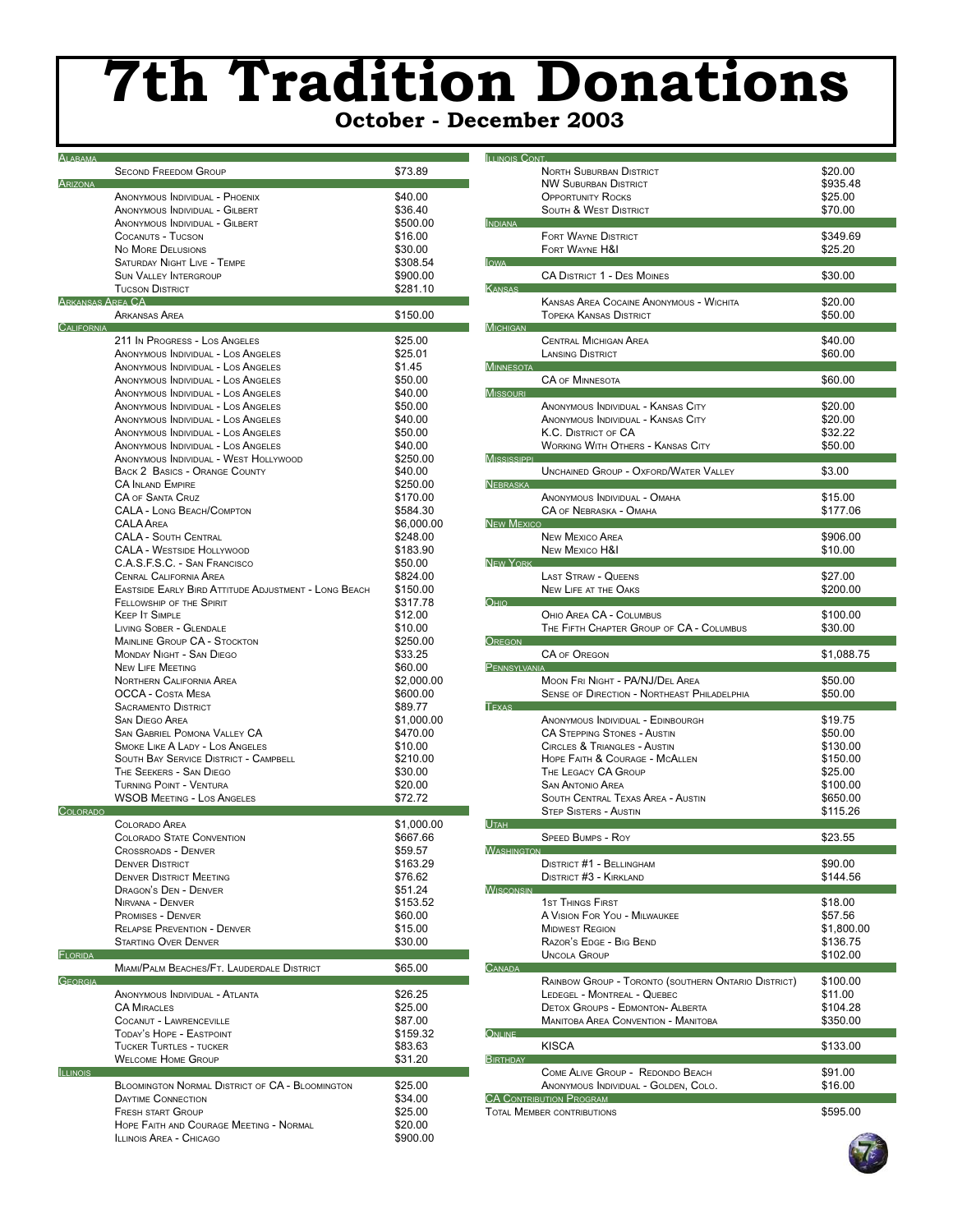# **7th Tradition Donations**

|  | <b>October - December 2003</b> |  |
|--|--------------------------------|--|
|--|--------------------------------|--|

| ALABAMA         |                                                                       |                     |
|-----------------|-----------------------------------------------------------------------|---------------------|
|                 | <b>SECOND FREEDOM GROUP</b>                                           | \$73.89             |
| ARIZONA         |                                                                       |                     |
|                 | ANONYMOUS INDIVIDUAL - PHOENIX                                        | \$40.00             |
|                 | ANONYMOUS INDIVIDUAL - GILBERT                                        | \$36.40             |
|                 | ANONYMOUS INDIVIDUAL - GILBERT                                        | \$500.00            |
|                 | COCANUTS - TUCSON                                                     | \$16.00             |
|                 | <b>NO MORE DELUSIONS</b>                                              | \$30.00             |
|                 | <b>SATURDAY NIGHT LIVE - TEMPE</b>                                    | \$308.54            |
|                 | <b>SUN VALLEY INTERGROUP</b>                                          | \$900.00            |
|                 | <b>TUCSON DISTRICT</b>                                                | \$281.10            |
|                 | Arkansas Arfa CA —                                                    |                     |
|                 | ARKANSAS AREA                                                         | \$150.00            |
| CALIFORNIA      |                                                                       |                     |
|                 | 211 In Progress - Los Angeles                                         | \$25.00             |
|                 | ANONYMOUS INDIVIDUAL - LOS ANGELES                                    | \$25.01             |
|                 | ANONYMOUS INDIVIDUAL - LOS ANGELES                                    | \$1.45              |
|                 | ANONYMOUS INDIVIDUAL - LOS ANGELES                                    | \$50.00             |
|                 | ANONYMOUS INDIVIDUAL - LOS ANGELES                                    | \$40.00             |
|                 | ANONYMOUS INDIVIDUAL - LOS ANGELES                                    | \$50.00             |
|                 | ANONYMOUS INDIVIDUAL - LOS ANGELES                                    | \$40.00             |
|                 | ANONYMOUS INDIVIDUAL - LOS ANGELES                                    | \$50.00             |
|                 | ANONYMOUS INDIVIDUAL - LOS ANGELES                                    | \$40.00             |
|                 | ANONYMOUS INDIVIDUAL - WEST HOLLYWOOD                                 | \$250.00            |
|                 | <b>BACK 2 BASICS - ORANGE COUNTY</b>                                  | \$40.00             |
|                 | <b>CA INLAND EMPIRE</b><br><b>CA OF SANTA CRUZ</b>                    | \$250.00            |
|                 |                                                                       | \$170.00            |
|                 | <b>CALA - LONG BEACH/COMPTON</b>                                      | \$584.30            |
|                 | <b>CALA AREA</b><br><b>CALA - SOUTH CENTRAL</b>                       | \$6,000.00          |
|                 |                                                                       | \$248.00            |
|                 | <b>CALA - WESTSIDE HOLLYWOOD</b>                                      | \$183.90            |
|                 | C.A.S.F.S.C. - SAN FRANCISCO                                          | \$50.00             |
|                 | <b>CENRAL CALIFORNIA AREA</b>                                         | \$824.00            |
|                 | EASTSIDE EARLY BIRD ATTITUDE ADJUSTMENT - LONG BEACH                  | \$150.00            |
|                 | FELLOWSHIP OF THE SPIRIT                                              | \$317.78            |
|                 | <b>KEEP IT SIMPLE</b>                                                 | \$12.00             |
|                 | <b>LIVING SOBER - GLENDALE</b><br><b>MAINLINE GROUP CA - STOCKTON</b> | \$10.00<br>\$250.00 |
|                 | MONDAY NIGHT - SAN DIEGO                                              | \$33.25             |
|                 | <b>NEW LIFE MEETING</b>                                               | \$60.00             |
|                 | NORTHERN CALIFORNIA AREA                                              | \$2,000.00          |
|                 | OCCA - COSTA MESA                                                     | \$600.00            |
|                 | <b>SACRAMENTO DISTRICT</b>                                            | \$89.77             |
|                 | <b>SAN DIEGO AREA</b>                                                 | \$1,000.00          |
|                 | <b>SAN GABRIEL POMONA VALLEY CA</b>                                   | \$470.00            |
|                 | <b>SMOKE LIKE A LADY - LOS ANGELES</b>                                | \$10.00             |
|                 | <b>SOUTH BAY SERVICE DISTRICT - CAMPBELL</b>                          | \$210.00            |
|                 | THE SEEKERS - SAN DIEGO                                               | \$30.00             |
|                 | TURNING POINT - VENTURA                                               | \$20.00             |
|                 | <b>WSOB MEETING - LOS ANGELES</b>                                     | \$72.72             |
| COLORADO        |                                                                       |                     |
|                 | <b>COLORADO AREA</b>                                                  | \$1,000.00          |
|                 | <b>COLORADO STATE CONVENTION</b>                                      | \$667.66            |
|                 | <b>CROSSROADS - DENVER</b>                                            | \$59.57             |
|                 | <b>DENVER DISTRICT</b>                                                | \$163.29            |
|                 | <b>DENVER DISTRICT MEETING</b>                                        | \$76.62             |
|                 | DRAGON'S DEN - DENVER                                                 | \$51.24             |
|                 | NIRVANA - DENVER                                                      | \$153.52            |
|                 | <b>PROMISES - DENVER</b>                                              | \$60.00             |
|                 | <b>RELAPSE PREVENTION - DENVER</b>                                    | \$15.00             |
|                 | <b>STARTING OVER DENVER</b>                                           | \$30.00             |
| FLORIDA         |                                                                       |                     |
|                 | MIAMI/PALM BEACHES/FT. LAUDERDALE DISTRICT                            | \$65.00             |
| GEORGIA         |                                                                       |                     |
|                 | ANONYMOUS INDIVIDUAL - ATLANTA                                        | \$26.25             |
|                 | <b>CA MIRACLES</b>                                                    | \$25.00             |
|                 | COCANUT - LAWRENCEVILLE                                               | \$87.00             |
|                 | TODAY'S HOPE - EASTPOINT                                              | \$159.32            |
|                 | <b>TUCKER TURTLES - TUCKER</b>                                        | \$83.63             |
|                 | <b>WELCOME HOME GROUP</b>                                             | \$31.20             |
| <b>ILLINOIS</b> |                                                                       |                     |
|                 | <b>BLOOMINGTON NORMAL DISTRICT OF CA - BLOOMINGTON</b>                | \$25.00             |
|                 | <b>DAYTIME CONNECTION</b>                                             | \$34.00             |
|                 | <b>FRESH START GROUP</b>                                              | \$25.00             |
|                 | HOPE FAITH AND COURAGE MEETING - NORMAL                               | \$20.00             |
|                 | <b>ILLINOIS AREA - CHICAGO</b>                                        | \$900.00            |

| <b>ILLINOIS CONT.</b>                                                                | NORTH SUBURBAN DISTRICT                                             | \$20.00             |
|--------------------------------------------------------------------------------------|---------------------------------------------------------------------|---------------------|
|                                                                                      | <b>NW SUBURBAN DISTRICT</b>                                         | \$935.48            |
|                                                                                      | <b>OPPORTUNITY ROCKS</b>                                            | \$25.00             |
|                                                                                      | <b>SOUTH &amp; WEST DISTRICT</b>                                    | \$70.00             |
| INDIANA                                                                              |                                                                     |                     |
|                                                                                      | <b>FORT WAYNE DISTRICT</b>                                          | \$349.69            |
|                                                                                      | FORT WAYNE H&I                                                      | \$25.20             |
| <b>lowa</b>                                                                          |                                                                     |                     |
|                                                                                      | <b>CA DISTRICT 1 - DES MOINES</b>                                   | \$30.00             |
| <b>KANSAS</b>                                                                        |                                                                     |                     |
|                                                                                      | <b>KANSAS AREA COCAINE ANONYMOUS - WICHITA</b>                      | \$20.00             |
|                                                                                      | TOPEKA KANSAS DISTRICT                                              | \$50.00             |
| <b>MICHIGAN</b>                                                                      |                                                                     |                     |
|                                                                                      | <b>CENTRAL MICHIGAN AREA</b>                                        | \$40.00             |
| <b>MINNESOTA</b>                                                                     | <b>LANSING DISTRICT</b>                                             | \$60.00             |
|                                                                                      | <b>CA OF MINNESOTA</b>                                              | \$60.00             |
| <b>MISSOURI</b>                                                                      |                                                                     |                     |
|                                                                                      | ANONYMOUS INDIVIDUAL - KANSAS CITY                                  | \$20.00             |
|                                                                                      | ANONYMOUS INDIVIDUAL - KANSAS CITY                                  | \$20.00             |
|                                                                                      | K.C. DISTRICT OF CA                                                 | \$32.22             |
|                                                                                      | <b>WORKING WITH OTHERS - KANSAS CITY</b>                            | \$50.00             |
| <b>MISSISSIPPI</b>                                                                   |                                                                     |                     |
|                                                                                      | <b>UNCHAINED GROUP - OXFORD/WATER VALLEY</b>                        | \$3.00              |
| NEBRASKA                                                                             |                                                                     |                     |
|                                                                                      | ANONYMOUS INDIVIDUAL - OMAHA                                        | \$15.00             |
| <b>NEW MEXICO</b>                                                                    | CA OF NEBRASKA - OMAHA                                              | \$177.06            |
|                                                                                      | <b>NEW MEXICO AREA</b>                                              | \$906.00            |
|                                                                                      | NEW MEXICO H&I                                                      | \$10.00             |
| <b>NEW YORK</b>                                                                      |                                                                     |                     |
|                                                                                      | <b>LAST STRAW - QUEENS</b>                                          | \$27.00             |
|                                                                                      | <b>NEW LIFE AT THE OAKS</b>                                         | \$200.00            |
| Оню                                                                                  |                                                                     |                     |
|                                                                                      | OHIO AREA CA - COLUMBUS                                             | \$100.00            |
|                                                                                      | THE FIFTH CHAPTER GROUP OF CA - COLUMBUS                            | \$30.00             |
| <b>OREGON</b>                                                                        |                                                                     |                     |
|                                                                                      |                                                                     |                     |
|                                                                                      | <b>CA OF OREGON</b>                                                 | \$1,088.75          |
| PENNSYLVANIA                                                                         |                                                                     |                     |
|                                                                                      | MOON FRI NIGHT - PA/NJ/DEL AREA                                     | \$50.00             |
| <b>TEXAS</b>                                                                         | SENSE OF DIRECTION - NORTHEAST PHILADELPHIA                         | \$50.00             |
|                                                                                      | ANONYMOUS INDIVIDUAL - EDINBOURGH                                   | \$19.75             |
|                                                                                      | <b>CA STEPPING STONES - AUSTIN</b>                                  | \$50.00             |
|                                                                                      | <b>CIRCLES &amp; TRIANGLES - AUSTIN</b>                             | \$130.00            |
|                                                                                      | HOPE FAITH & COURAGE - MCALLEN                                      | \$150.00            |
|                                                                                      | THE LEGACY CA GROUP                                                 | \$25.00             |
|                                                                                      | <b>SAN ANTONIO AREA</b>                                             | \$100.00            |
|                                                                                      | <b>SOUTH CENTRAL TEXAS AREA - AUSTIN</b>                            | \$650.00            |
|                                                                                      | <b>STEP SISTERS - AUSTIN</b>                                        | \$115.26            |
|                                                                                      |                                                                     |                     |
|                                                                                      | <b>SPEED BUMPS - ROY</b>                                            | \$23.55             |
|                                                                                      | <b>DISTRICT #1 - BELLINGHAM</b>                                     |                     |
|                                                                                      | <b>DISTRICT #3 - KIRKLAND</b>                                       | \$90.00<br>\$144.56 |
|                                                                                      |                                                                     |                     |
|                                                                                      | <b>1ST THINGS FIRST</b>                                             | \$18.00             |
|                                                                                      | A VISION FOR YOU - MILWAUKEE                                        | \$57.56             |
|                                                                                      | <b>MIDWEST REGION</b>                                               | \$1,800.00          |
|                                                                                      | RAZOR'S EDGE - BIG BEND                                             | \$136.75            |
|                                                                                      | <b>UNCOLA GROUP</b>                                                 | \$102.00            |
|                                                                                      |                                                                     |                     |
|                                                                                      | RAINBOW GROUP - TORONTO (SOUTHERN ONTARIO DISTRICT)                 | \$100.00            |
|                                                                                      | LEDEGEL - MONTREAL - QUEBEC                                         | \$11.00             |
|                                                                                      | <b>DETOX GROUPS - EDMONTON- ALBERTA</b>                             | \$104.28            |
|                                                                                      | <b>MANITOBA AREA CONVENTION - MANITOBA</b>                          | \$350.00            |
|                                                                                      | <b>KISCA</b>                                                        | \$133.00            |
|                                                                                      |                                                                     |                     |
|                                                                                      | COME ALIVE GROUP - REDONDO BEACH                                    | \$91.00             |
|                                                                                      | ANONYMOUS INDIVIDUAL - GOLDEN, COLO.                                | \$16.00             |
| <b>UTAH</b><br>WASHINGTON<br>WISCONSIN<br><u>Canada</u><br>ONLINE<br><b>BIRTHDAY</b> | <b>CA CONTRIBUTION PROGRAM</b><br><b>TOTAL MEMBER CONTRIBUTIONS</b> | \$595.00            |